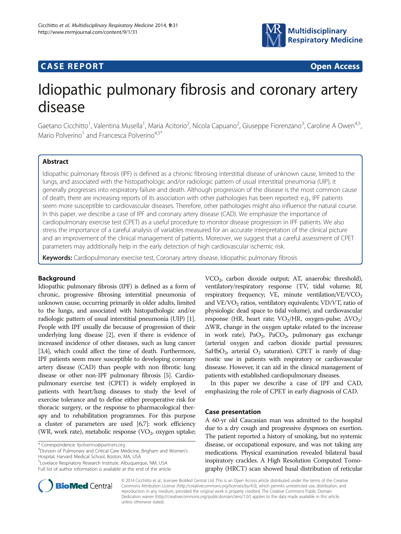

# **CASE REPORT CASE REPORT**

# Idiopathic pulmonary fibrosis and coronary artery disease

Gaetano Cicchitto<sup>1</sup>, Valentina Musella<sup>1</sup>, Maria Acitorio<sup>2</sup>, Nicola Capuano<sup>2</sup>, Giuseppe Fiorenzano<sup>3</sup>, Caroline A Owen<sup>4,5</sup>, Mario Polverino<sup>1</sup> and Francesca Polverino<sup>4,5\*</sup>

# Abstract

Idiopathic pulmonary fibrosis (IPF) is defined as a chronic fibrosing interstitial disease of unknown cause, limited to the lungs, and associated with the histopathologic and/or radiologic pattern of usual interstitial pneumonia (UIP); it generally progresses into respiratory failure and death. Although progression of the disease is the most common cause of death, there are increasing reports of its association with other pathologies has been reported: e.g., IPF patients seem more susceptible to cardiovascular diseases. Therefore, other pathologies might also influence the natural course. In this paper, we describe a case of IPF and coronary artery disease (CAD). We emphasize the importance of cardiopulmonary exercise test (CPET) as a useful procedure to monitor disease progression in IPF patients. We also stress the importance of a careful analysis of variables measured for an accurate interpretation of the clinical picture and an improvement of the clinical management of patients. Moreover, we suggest that a careful assessment of CPET parameters may additionally help in the early detection of high cardiovascular ischemic risk.

Keywords: Cardiopulmonary exercise test, Coronary artery disease, Idiopathic pulmonary fibrosis

# Background

Idiopathic pulmonary fibrosis (IPF) is defined as a form of chronic, progressive fibrosing interstitial pneumonia of unknown cause, occurring primarily in older adults, limited to the lungs, and associated with histopathologic and/or radiologic pattern of usual interstitial pneumonia (UIP) [[1](#page-2-0)]. People with IPF usually die because of progression of their underlying lung disease [[2](#page-2-0)], even if there is evidence of increased incidence of other diseases, such as lung cancer [[3,4](#page-2-0)], which could affect the time of death. Furthermore, IPF patients seem more susceptible to developing coronary artery disease (CAD) than people with non fibrotic lung disease or other non-IPF pulmonary fibrosis [\[5\]](#page-2-0). Cardiopulmonary exercise test (CPET) is widely employed in patients with heart/lung diseases to study the level of exercise tolerance and to define either preoperative risk for thoracic surgery, or the response to pharmacological therapy and to rehabilitation programmes. For this purpose a cluster of parameters are used [\[6,7](#page-2-0)]: work efficiency (WR, work rate), metabolic response (VO $_2$ , oxygen uptake;

\* Correspondence: [fpolverino@partners.org](mailto:fpolverino@partners.org) <sup>4</sup>

Division of Pulmonary and Critical Care Medicine, Brigham and Women's Hospital, Harvard Medical School, Boston, MA, USA

5 Lovelace Respiratory Research Institute, Albuquerque, NM, USA

Full list of author information is available at the end of the article



In this paper we describe a case of IPF and CAD, emphasizing the role of CPET in early diagnosis of CAD.

#### Case presentation

A 60-yr old Caucasian man was admitted to the hospital due to a dry cough and progressive dyspnoea on exertion. The patient reported a history of smoking, but no systemic disease, or occupational exposure, and was not taking any medications. Physical examination revealed bilateral basal inspiratory crackles. A High Resolution Computed Tomography (HRCT) scan showed basal distribution of reticular



© 2014 Cicchitto et al.; licensee BioMed Central Ltd. This is an Open Access article distributed under the terms of the Creative Commons Attribution License [\(http://creativecommons.org/licenses/by/4.0\)](http://creativecommons.org/licenses/by/4.0), which permits unrestricted use, distribution, and reproduction in any medium, provided the original work is properly credited. The Creative Commons Public Domain Dedication waiver [\(http://creativecommons.org/publicdomain/zero/1.0/](http://creativecommons.org/publicdomain/zero/1.0/)) applies to the data made available in this article, unless otherwise stated.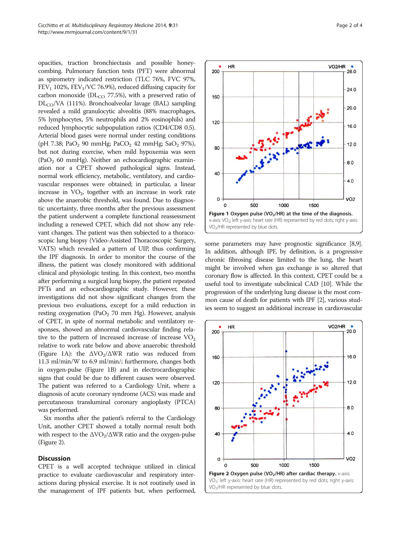opacities, traction bronchiectasis and possible honeycombing. Pulmonary function tests (PFT) were abnormal as spirometry indicated restriction (TLC 76%, FVC 97%,  $FEV<sub>1</sub>$  102%,  $FEV<sub>1</sub>/VC$  76.9%), reduced diffusing capacity for carbon monoxide ( $DL_{CO}$  77.5%), with a preserved ratio of  $DL_{CO}/VA$  (111%). Bronchoalveolar lavage (BAL) sampling revealed a mild granulocytic alveolitis (88% macrophages, 5% lymphocytes, 5% neutrophils and 2% eosinophils) and reduced lymphocytic subpopulation ratios (CD4/CD8 0.5). Arterial blood gases were normal under resting conditions (pH 7.38; PaO<sub>2</sub> 90 mmHg; PaCO<sub>2</sub> 42 mmHg; SaO<sub>2</sub> 97%), but not during exercise, when mild hypoxemia was seen  $(PaO<sub>2</sub> 60 mmHg)$ . Neither an echocardiographic examination nor a CPET showed pathological signs. Instead, normal work efficiency, metabolic, ventilatory, and cardiovascular responses were obtained; in particular, a linear increase in  $VO<sub>2</sub>$ , together with an increase in work rate above the anaerobic threshold, was found. Due to diagnostic uncertainty, three months after the previous assessment the patient underwent a complete functional reassessment including a renewed CPET, which did not show any relevant changes. The patient was then subjected to a thoracoscopic lung biopsy (Video-Assisted Thoracoscopic Surgery, VATS) which revealed a pattern of UIP, thus confirming the IPF diagnosis. In order to monitor the course of the illness, the patient was closely monitored with additional clinical and physiologic testing. In this context, two months after performing a surgical lung biopsy, the patient repeated PFTs and an echocardiographic study. However, these investigations did not show significant changes from the previous two evaluations, except for a mild reduction in resting oxygenation (PaO<sub>2</sub> 70 mm Hg). However, analysis of CPET, in spite of normal metabolic and ventilatory responses, showed an abnormal cardiovascular finding relative to the pattern of increased increase of increase  $VO<sub>2</sub>$ relative to work rate below and above anaerobic threshold (Figure 1A): the  $\Delta\text{VO}_2/\Delta\text{WR}$  ratio was reduced from 11.3 ml/min/W to 6.9 ml/min/; furthermore, changes both in oxygen-pulse (Figure 1B) and in electrocardiographic signs that could be due to different causes were observed. The patient was referred to a Cardiology Unit, where a diagnosis of acute coronary syndrome (ACS) was made and percutaneous transluminal coronary angioplasty (PTCA) was performed.

Six months after the patient's referral to the Cardiology Unit, another CPET showed a totally normal result both with respect to the  $\Delta\text{VO}_2/\Delta\text{WR}$  ratio and the oxygen-pulse (Figure 2).

## **Discussion**

CPET is a well accepted technique utilized in clinical practice to evaluate cardiovascular and respiratory interactions during physical exercise. It is not routinely used in the management of IPF patients but, when performed,



some parameters may have prognostic significance [\[8,9](#page-3-0)]. In addition, although IPF, by definition, is a progressive chronic fibrosing disease limited to the lung, the heart might be involved when gas exchange is so altered that coronary flow is affected. In this context, CPET could be a useful tool to investigate subclinical CAD [\[10](#page-3-0)]. While the progression of the underlying lung disease is the most common cause of death for patients with IPF [\[2\]](#page-2-0), various studies seem to suggest an additional increase in cardiovascular

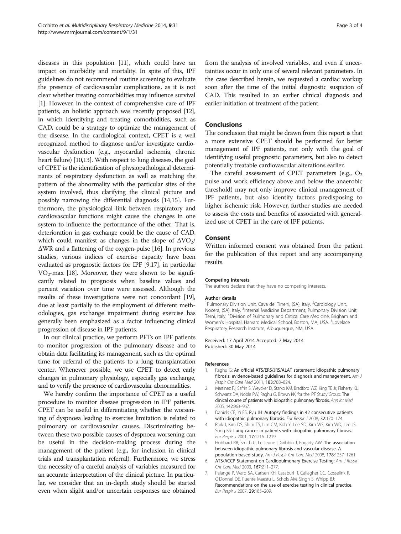<span id="page-2-0"></span>diseases in this population [\[11](#page-3-0)], which could have an impact on morbidity and mortality. In spite of this, IPF guidelines do not recommend routine screening to evaluate the presence of cardiovascular complications, as it is not clear whether treating comorbidities may influence survival [1]. However, in the context of comprehensive care of IPF patients, an holistic approach was recently proposed [\[12](#page-3-0)], in which identifying and treating comorbidities, such as CAD, could be a strategy to optimize the management of the disease. In the cardiological context, CPET is a well recognized method to diagnose and/or investigate cardiovascular dysfunction (e.g., myocardial ischemia, chronic heart failure) [\[10,13](#page-3-0)]. With respect to lung diseases, the goal of CPET is the identification of physiopathological determinants of respiratory dysfunction as well as matching the pattern of the abnormality with the particular sites of the system involved, thus clarifying the clinical picture and possibly narrowing the differential diagnosis [\[14,15](#page-3-0)]. Furthermore, the physiological link between respiratory and cardiovascular functions might cause the changes in one system to influence the performance of the other. That is, deterioration in gas exchange could be the cause of CAD, which could manifest as changes in the slope of  $\Delta\text{VO}_2/$ ΔWR and a flattening of the oxygen-pulse [[16](#page-3-0)]. In previous studies, various indices of exercise capacity have been evaluated as prognostic factors for IPF [\[9,17](#page-3-0)], in particular  $VO<sub>2</sub>$ -max [\[18](#page-3-0)]. Moreover, they were shown to be significantly related to prognosis when baseline values and percent variation over time were assessed. Although the results of these investigations were not concordant [\[19](#page-3-0)], due at least partially to the employment of different methodologies, gas exchange impairment during exercise has generally been emphasized as a factor influencing clinical progression of disease in IPF patients.

In our clinical practice, we perform PFTs on IPF patients to monitor progression of the pulmonary disease and to obtain data facilitating its management, such as the optimal time for referral of the patients to a lung transplantation center. Whenever possible, we use CPET to detect early changes in pulmonary physiology, especially gas exchange, and to verify the presence of cardiovascular abnormalities.

We hereby confirm the importance of CPET as a useful procedure to monitor disease progression in IPF patients. CPET can be useful in differentiating whether the worsening of dyspnoea leading to exercise limitation is related to pulmonary or cardiovascular causes. Discriminating between these two possible causes of dyspnoea worsening can be useful in the decision-making process during the management of the patient (e.g., for inclusion in clinical trials and transplantation referral). Furthermore, we stress the necessity of a careful analysis of variables measured for an accurate interpretation of the clinical picture. In particular, we consider that an in-depth study should be started even when slight and/or uncertain responses are obtained from the analysis of involved variables, and even if uncertainties occur in only one of several relevant parameters. In the case described herein, we requested a cardiac workup soon after the time of the initial diagnostic suspicion of CAD. This resulted in an earlier clinical diagnosis and earlier initiation of treatment of the patient.

#### Conclusions

The conclusion that might be drawn from this report is that a more extensive CPET should be performed for better management of IPF patients, not only with the goal of identifying useful prognostic parameters, but also to detect potentially treatable cardiovascular alterations earlier.

The careful assessment of CPET parameters (e.g.,  $O_2$ ) pulse and work efficiency above and below the anaerobic threshold) may not only improve clinical management of IPF patients, but also identify factors predisposing to higher ischemic risk. However, further studies are needed to assess the costs and benefits of associated with generalized use of CPET in the care of IPF patients.

### Consent

Written informed consent was obtained from the patient for the publication of this report and any accompanying results.

#### Competing interests

The authors declare that they have no competing interests.

#### Author details

<sup>1</sup>Pulmonary Division Unit, Cava de' Tirreni, (SA), Italy. <sup>2</sup>Cardiology Unit Nocera, (SA), Italy. <sup>3</sup>Internal Medicine Department, Pulmonary Division Unit, Terni, Italy. <sup>4</sup> Division of Pulmonary and Critical Care Medicine, Brigham and Women's Hospital, Harvard Medical School, Boston, MA, USA. <sup>5</sup>Lovelace Respiratory Research Institute, Albuquerque, NM, USA.

Received: 17 April 2014 Accepted: 7 May 2014 Published: 30 May 2014

#### References

- 1. Raghu G: An official ATS/ERS/JRS/ALAT statement: idiopathic pulmonary fibrosis: evidence-based guidelines for diagnosis and management. Am J Respir Crit Care Med 2011, 183:788–824.
- 2. Martinez FJ, Safrin S, Weycker D, Starko KM, Bradford WZ, King TE Jr, Flaherty KL, Schwartz DA, Noble PW, Raghu G, Brown KK, for the IPF Study Group: The clinical course of patients with idiopathic pulmonary fibrosis. Ann Int Med 2005, 142:963–967.
- 3. Daniels CE, Yi ES, Ryu JH: Autopsy findings in 42 consecutive patients with idiopathic pulmonary fibrosis. Eur Respir J 2008, 32:170-174.
- 4. Park J, Kim DS, Shim TS, Lim CM, Koh Y, Lee SD, Kim WS, Kim WD, Lee JS, Song KS: Lung cancer in patients with idiopathic pulmonary fibrosis. Eur Respir J 2001, 17:1216–1219.
- Hubbard RB, Smith C, Le Jeune I, Gribbin J, Fogarty AW: The association between idiopathic pulmonary fibrosis and vascular disease. A population-based study. Am J Respir Crit Care Med 2008, 178:1257–1261.
- 6. ATS/ACCP Statement on Cardiopulmonary Exercise Testing: Am J Respir Crit Care Med 2003, 167:211–277.
- 7. Palange P, Ward SA, Carlsen KH, Casaburi R, Gallagher CG, Gosselink R, O'Donnel DE, Puente Maestu L, Schols AM, Singh S, Whipp BJ: Recommendations on the use of exercise testing in clinical practice. Eur Respir J 2007, 29:185–209.